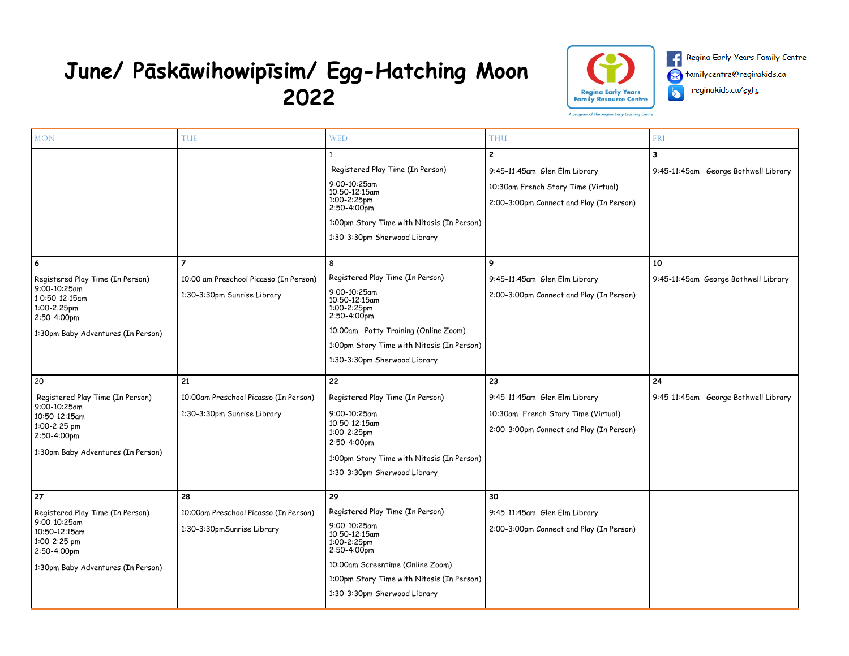## **June/ Pāskāwihowipīsim/ Egg-Hatching Moon 2022**



Regina Early Years Family Centre Ø familycentre@reginakids.ca reginakids.ca/eyfc  $\blacklozenge$ 

| <b>MON</b>                                                                                                                                   | <b>TUE</b>                                                                              | <b>WED</b>                                                                                                                                                                                                                                                                                                                                                                                                  | <b>THU</b>                                                                                                                                                                                                         | <b>FRI</b>                                                                              |
|----------------------------------------------------------------------------------------------------------------------------------------------|-----------------------------------------------------------------------------------------|-------------------------------------------------------------------------------------------------------------------------------------------------------------------------------------------------------------------------------------------------------------------------------------------------------------------------------------------------------------------------------------------------------------|--------------------------------------------------------------------------------------------------------------------------------------------------------------------------------------------------------------------|-----------------------------------------------------------------------------------------|
| 6<br>Registered Play Time (In Person)<br>9:00-10:25am<br>10:50-12:15am<br>1:00-2:25pm<br>2:50-4:00pm<br>1:30pm Baby Adventures (In Person)   | $\overline{7}$<br>10:00 am Preschool Picasso (In Person)<br>1:30-3:30pm Sunrise Library | Registered Play Time (In Person)<br>9:00-10:25am<br>10:50-12:15am<br>1:00-2:25pm<br>2:50-4:00pm<br>1:00pm Story Time with Nitosis (In Person)<br>1:30-3:30pm Sherwood Library<br>8<br>Registered Play Time (In Person)<br>9:00-10:25am<br>10:50-12:15am<br>1:00-2:25pm<br>2:50-4:00pm<br>10:00am Potty Training (Online Zoom)<br>1:00pm Story Time with Nitosis (In Person)<br>1:30-3:30pm Sherwood Library | $\mathbf{2}$<br>9:45-11:45am Glen Elm Library<br>10:30am French Story Time (Virtual)<br>2:00-3:00pm Connect and Play (In Person)<br>9<br>9:45-11:45am Glen Elm Library<br>2:00-3:00pm Connect and Play (In Person) | 3<br>9:45-11:45am George Bothwell Library<br>10<br>9:45-11:45am George Bothwell Library |
| 20<br>Registered Play Time (In Person)<br>9:00-10:25am<br>10:50-12:15am<br>1:00-2:25 pm<br>2:50-4:00pm<br>1:30pm Baby Adventures (In Person) | 21<br>10:00am Preschool Picasso (In Person)<br>1:30-3:30pm Sunrise Library              | 22<br>Registered Play Time (In Person)<br>9:00-10:25am<br>10:50-12:15am<br>1:00-2:25pm<br>2:50-4:00pm<br>1:00pm Story Time with Nitosis (In Person)<br>1:30-3:30pm Sherwood Library                                                                                                                                                                                                                         | 23<br>9:45-11:45am Glen Elm Library<br>10:30am French Story Time (Virtual)<br>2:00-3:00pm Connect and Play (In Person)                                                                                             | 24<br>9:45-11:45am George Bothwell Library                                              |
| 27<br>Registered Play Time (In Person)<br>9:00-10:25am<br>10:50-12:15am<br>1:00-2:25 pm<br>2:50-4:00pm<br>1:30pm Baby Adventures (In Person) | 28<br>10:00am Preschool Picasso (In Person)<br>1:30-3:30pmSunrise Library               | 29<br>Registered Play Time (In Person)<br>9:00-10:25am<br>10:50-12:15am<br>1:00-2:25pm<br>2:50-4:00pm<br>10:00am Screentime (Online Zoom)<br>1:00pm Story Time with Nitosis (In Person)<br>1:30-3:30pm Sherwood Library                                                                                                                                                                                     | 30<br>9:45-11:45am Glen Elm Library<br>2:00-3:00pm Connect and Play (In Person)                                                                                                                                    |                                                                                         |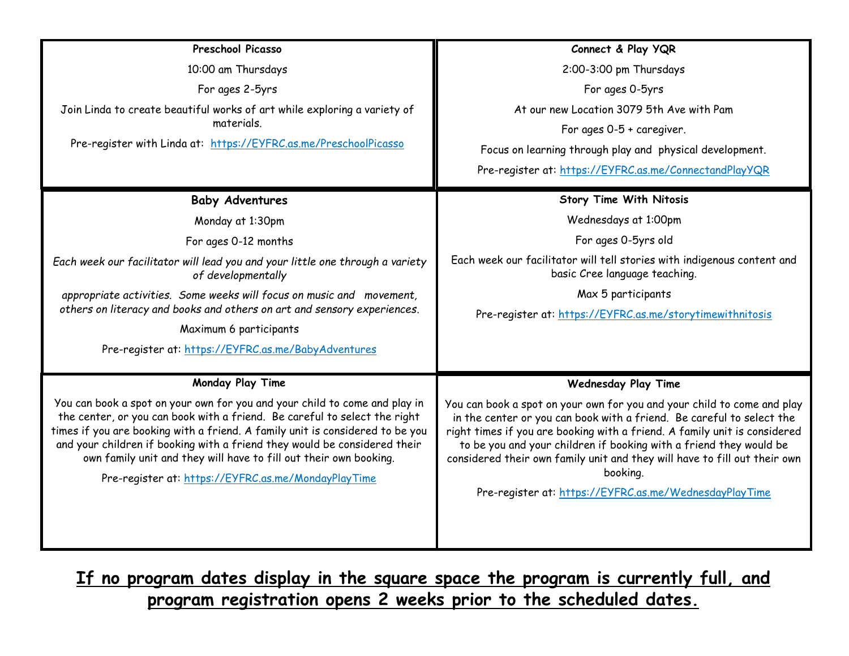| Preschool Picasso                                                                                                                                                                                                                                                                                                                                                                                                                                 | Connect & Play YQR                                                                                                                                                                                                                                                                                                                                                                                                                                     |  |
|---------------------------------------------------------------------------------------------------------------------------------------------------------------------------------------------------------------------------------------------------------------------------------------------------------------------------------------------------------------------------------------------------------------------------------------------------|--------------------------------------------------------------------------------------------------------------------------------------------------------------------------------------------------------------------------------------------------------------------------------------------------------------------------------------------------------------------------------------------------------------------------------------------------------|--|
| 10:00 am Thursdays                                                                                                                                                                                                                                                                                                                                                                                                                                | 2:00-3:00 pm Thursdays                                                                                                                                                                                                                                                                                                                                                                                                                                 |  |
| For ages 2-5yrs                                                                                                                                                                                                                                                                                                                                                                                                                                   | For ages 0-5yrs                                                                                                                                                                                                                                                                                                                                                                                                                                        |  |
| Join Linda to create beautiful works of art while exploring a variety of                                                                                                                                                                                                                                                                                                                                                                          | At our new Location 3079 5th Ave with Pam                                                                                                                                                                                                                                                                                                                                                                                                              |  |
| materials.                                                                                                                                                                                                                                                                                                                                                                                                                                        | For ages $0-5 +$ caregiver.                                                                                                                                                                                                                                                                                                                                                                                                                            |  |
| Pre-register with Linda at: https://EYFRC.as.me/PreschoolPicasso                                                                                                                                                                                                                                                                                                                                                                                  | Focus on learning through play and physical development.                                                                                                                                                                                                                                                                                                                                                                                               |  |
|                                                                                                                                                                                                                                                                                                                                                                                                                                                   | Pre-register at: https://EYFRC.as.me/ConnectandPlayYQR                                                                                                                                                                                                                                                                                                                                                                                                 |  |
| <b>Baby Adventures</b>                                                                                                                                                                                                                                                                                                                                                                                                                            | <b>Story Time With Nitosis</b>                                                                                                                                                                                                                                                                                                                                                                                                                         |  |
| Monday at 1:30pm                                                                                                                                                                                                                                                                                                                                                                                                                                  | Wednesdays at 1:00pm                                                                                                                                                                                                                                                                                                                                                                                                                                   |  |
| For ages 0-12 months                                                                                                                                                                                                                                                                                                                                                                                                                              | For ages 0-5yrs old                                                                                                                                                                                                                                                                                                                                                                                                                                    |  |
| Each week our facilitator will lead you and your little one through a variety<br>of developmentally                                                                                                                                                                                                                                                                                                                                               | Each week our facilitator will tell stories with indigenous content and<br>basic Cree language teaching.                                                                                                                                                                                                                                                                                                                                               |  |
| appropriate activities. Some weeks will focus on music and movement,<br>others on literacy and books and others on art and sensory experiences.                                                                                                                                                                                                                                                                                                   | Max 5 participants<br>Pre-register at: https://EYFRC.as.me/storytimewithnitosis                                                                                                                                                                                                                                                                                                                                                                        |  |
| Maximum 6 participants                                                                                                                                                                                                                                                                                                                                                                                                                            |                                                                                                                                                                                                                                                                                                                                                                                                                                                        |  |
| Pre-register at: https://EYFRC.as.me/BabyAdventures                                                                                                                                                                                                                                                                                                                                                                                               |                                                                                                                                                                                                                                                                                                                                                                                                                                                        |  |
| Monday Play Time                                                                                                                                                                                                                                                                                                                                                                                                                                  |                                                                                                                                                                                                                                                                                                                                                                                                                                                        |  |
|                                                                                                                                                                                                                                                                                                                                                                                                                                                   | <b>Wednesday Play Time</b>                                                                                                                                                                                                                                                                                                                                                                                                                             |  |
| You can book a spot on your own for you and your child to come and play in<br>the center, or you can book with a friend. Be careful to select the right<br>times if you are booking with a friend. A family unit is considered to be you<br>and your children if booking with a friend they would be considered their<br>own family unit and they will have to fill out their own booking.<br>Pre-register at: https://EYFRC.as.me/MondayPlayTime | You can book a spot on your own for you and your child to come and play<br>in the center or you can book with a friend. Be careful to select the<br>right times if you are booking with a friend. A family unit is considered<br>to be you and your children if booking with a friend they would be<br>considered their own family unit and they will have to fill out their own<br>booking.<br>Pre-register at: https://EYFRC.as.me/WednesdayPlayTime |  |
|                                                                                                                                                                                                                                                                                                                                                                                                                                                   |                                                                                                                                                                                                                                                                                                                                                                                                                                                        |  |

**If no program dates display in the square space the program is currently full, and program registration opens 2 weeks prior to the scheduled dates.**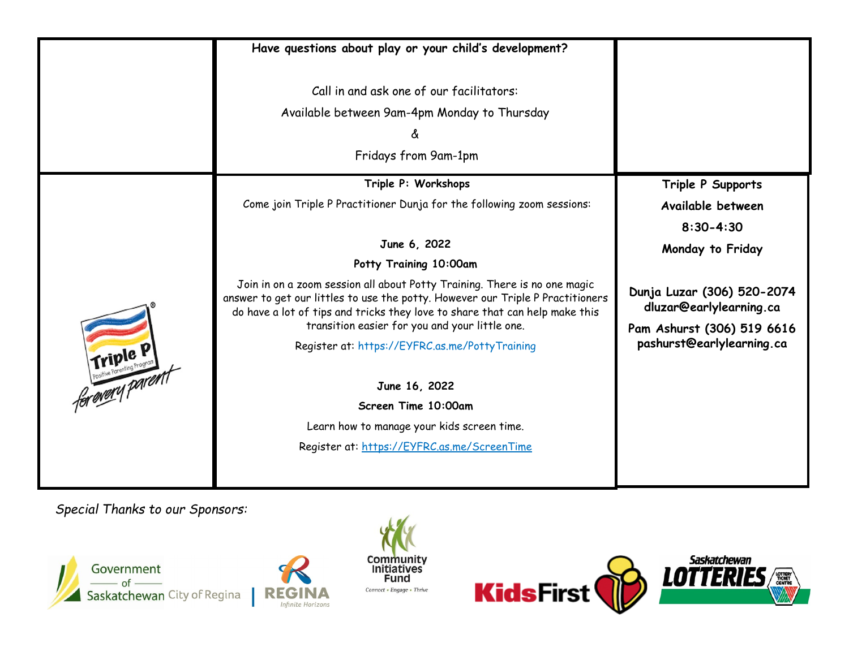|          | Have questions about play or your child's development?                                                                                                                                                                                     |                                                       |  |
|----------|--------------------------------------------------------------------------------------------------------------------------------------------------------------------------------------------------------------------------------------------|-------------------------------------------------------|--|
|          | Call in and ask one of our facilitators:<br>Available between 9am-4pm Monday to Thursday<br>δ.<br>Fridays from 9am-1pm                                                                                                                     |                                                       |  |
|          | Triple P: Workshops                                                                                                                                                                                                                        | Triple P Supports                                     |  |
|          | Come join Triple P Practitioner Dunja for the following zoom sessions:                                                                                                                                                                     | Available between                                     |  |
|          |                                                                                                                                                                                                                                            | $8:30 - 4:30$                                         |  |
|          | June 6, 2022                                                                                                                                                                                                                               | Monday to Friday                                      |  |
|          | Potty Training 10:00am                                                                                                                                                                                                                     |                                                       |  |
|          | Join in on a zoom session all about Potty Training. There is no one magic<br>answer to get our littles to use the potty. However our Triple P Practitioners<br>do have a lot of tips and tricks they love to share that can help make this | Dunja Luzar (306) 520-2074<br>dluzar@earlylearning.ca |  |
|          | transition easier for you and your little one.                                                                                                                                                                                             | Pam Ashurst (306) 519 6616                            |  |
| Friple P | Register at: https://EYFRC.as.me/PottyTraining                                                                                                                                                                                             | pashurst@earlylearning.ca                             |  |
|          | June 16, 2022                                                                                                                                                                                                                              |                                                       |  |
|          | Screen Time 10:00am                                                                                                                                                                                                                        |                                                       |  |
|          | Learn how to manage your kids screen time.                                                                                                                                                                                                 |                                                       |  |
|          | Register at: https://EYFRC.as.me/ScreenTime                                                                                                                                                                                                |                                                       |  |
|          |                                                                                                                                                                                                                                            |                                                       |  |

*Special Thanks to our Sponsors:*





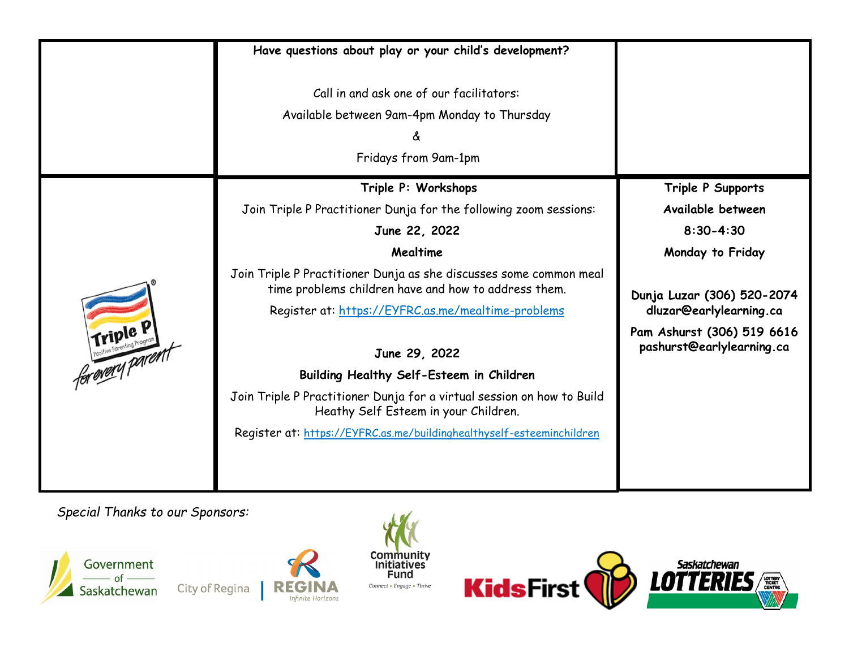|                             | Have questions about play or your child's development?                                                                                                                           |                                                         |
|-----------------------------|----------------------------------------------------------------------------------------------------------------------------------------------------------------------------------|---------------------------------------------------------|
|                             | Call in and ask one of our facilitators:<br>Available between 9am-4pm Monday to Thursday<br>δ.<br>Fridays from 9am-1pm                                                           |                                                         |
|                             | Triple P: Workshops                                                                                                                                                              | Triple P Supports                                       |
|                             | Join Triple P Practitioner Dunja for the following zoom sessions:                                                                                                                | Available between                                       |
|                             | June 22, 2022                                                                                                                                                                    | $8:30 - 4:30$                                           |
|                             | Mealtime                                                                                                                                                                         | Monday to Friday                                        |
|                             | Join Triple P Practitioner Dunja as she discusses some common meal<br>time problems children have and how to address them.<br>Register at: https://EYFRC.as.me/mealtime-problems | Dunja Luzar (306) 520-2074<br>dluzar@earlylearning.ca   |
| Friple P<br>for every paren | June 29, 2022                                                                                                                                                                    | Pam Ashurst (306) 519 6616<br>pashurst@earlylearning.ca |
|                             | Building Healthy Self-Esteem in Children                                                                                                                                         |                                                         |
|                             | Join Triple P Practitioner Dunja for a virtual session on how to Build<br>Heathy Self Esteem in your Children.                                                                   |                                                         |
|                             | Register at: https://EYFRC.as.me/buildinghealthyself-esteeminchildren                                                                                                            |                                                         |
|                             |                                                                                                                                                                                  |                                                         |

*Special Thanks to our Sponsors:*



City of Regina